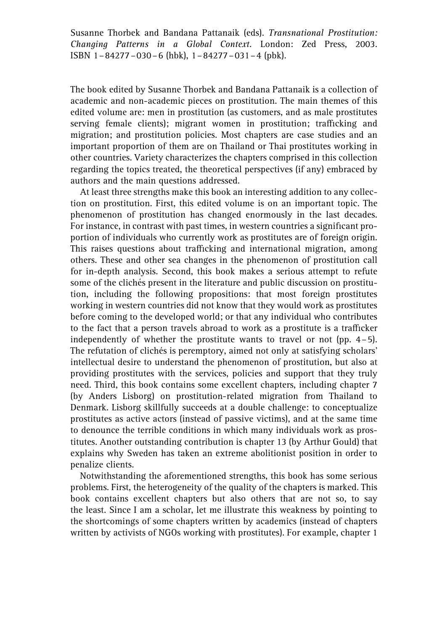Susanne Thorbek and Bandana Pattanaik (eds). Transnational Prostitution: Changing Patterns in a Global Context. London: Zed Press, 2003. ISBN 1–84277–030–6 (hbk), 1–84277–031–4 (pbk).

The book edited by Susanne Thorbek and Bandana Pattanaik is a collection of academic and non-academic pieces on prostitution. The main themes of this edited volume are: men in prostitution (as customers, and as male prostitutes serving female clients); migrant women in prostitution; trafficking and migration; and prostitution policies. Most chapters are case studies and an important proportion of them are on Thailand or Thai prostitutes working in other countries. Variety characterizes the chapters comprised in this collection regarding the topics treated, the theoretical perspectives (if any) embraced by authors and the main questions addressed.

At least three strengths make this book an interesting addition to any collection on prostitution. First, this edited volume is on an important topic. The phenomenon of prostitution has changed enormously in the last decades. For instance, in contrast with past times, in western countries a significant proportion of individuals who currently work as prostitutes are of foreign origin. This raises questions about trafficking and international migration, among others. These and other sea changes in the phenomenon of prostitution call for in-depth analysis. Second, this book makes a serious attempt to refute some of the clichés present in the literature and public discussion on prostitution, including the following propositions: that most foreign prostitutes working in western countries did not know that they would work as prostitutes before coming to the developed world; or that any individual who contributes to the fact that a person travels abroad to work as a prostitute is a trafficker independently of whether the prostitute wants to travel or not (pp. 4–5). The refutation of clichés is peremptory, aimed not only at satisfying scholars' intellectual desire to understand the phenomenon of prostitution, but also at providing prostitutes with the services, policies and support that they truly need. Third, this book contains some excellent chapters, including chapter 7 (by Anders Lisborg) on prostitution-related migration from Thailand to Denmark. Lisborg skillfully succeeds at a double challenge: to conceptualize prostitutes as active actors (instead of passive victims), and at the same time to denounce the terrible conditions in which many individuals work as prostitutes. Another outstanding contribution is chapter 13 (by Arthur Gould) that explains why Sweden has taken an extreme abolitionist position in order to penalize clients.

Notwithstanding the aforementioned strengths, this book has some serious problems. First, the heterogeneity of the quality of the chapters is marked. This book contains excellent chapters but also others that are not so, to say the least. Since I am a scholar, let me illustrate this weakness by pointing to the shortcomings of some chapters written by academics (instead of chapters written by activists of NGOs working with prostitutes). For example, chapter 1